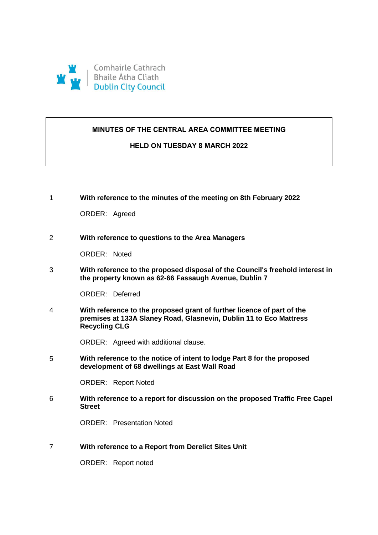

## **MINUTES OF THE CENTRAL AREA COMMITTEE MEETING**

## **HELD ON TUESDAY 8 MARCH 2022**

1 **With reference to the minutes of the meeting on 8th February 2022** 

ORDER: Agreed

#### 2 **With reference to questions to the Area Managers**

ORDER: Noted

3 **With reference to the proposed disposal of the Council's freehold interest in the property known as 62-66 Fassaugh Avenue, Dublin 7** 

ORDER: Deferred

4 **With reference to the proposed grant of further licence of part of the premises at 133A Slaney Road, Glasnevin, Dublin 11 to Eco Mattress Recycling CLG**

ORDER: Agreed with additional clause.

5 **With reference to the notice of intent to lodge Part 8 for the proposed development of 68 dwellings at East Wall Road** 

ORDER: Report Noted

6 **With reference to a report for discussion on the proposed Traffic Free Capel Street** 

ORDER: Presentation Noted

7 **With reference to a Report from Derelict Sites Unit** 

ORDER: Report noted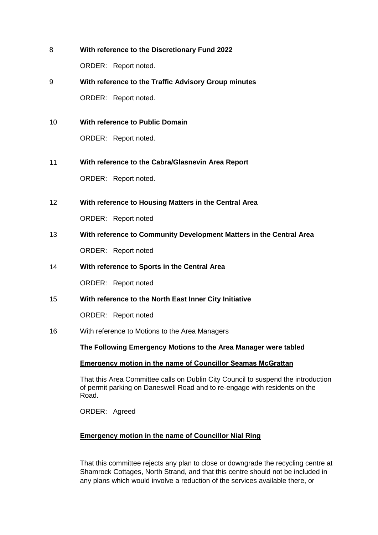- 8 **With reference to the Discretionary Fund 2022**  ORDER: Report noted.
- 9 **With reference to the Traffic Advisory Group minutes**  ORDER: Report noted.
- 10 **With reference to Public Domain**

ORDER: Report noted.

- 11 **With reference to the Cabra/Glasnevin Area Report**  ORDER: Report noted.
- 12 **With reference to Housing Matters in the Central Area**

ORDER: Report noted

- 13 **With reference to Community Development Matters in the Central Area** ORDER: Report noted
- 14 **With reference to Sports in the Central Area**

ORDER: Report noted

15 **With reference to the North East Inner City Initiative** 

ORDER: Report noted

16 With reference to Motions to the Area Managers

**The Following Emergency Motions to the Area Manager were tabled**

### **Emergency motion in the name of Councillor Seamas McGrattan**

That this Area Committee calls on Dublin City Council to suspend the introduction of permit parking on Daneswell Road and to re-engage with residents on the Road.

ORDER: Agreed

# **Emergency motion in the name of Councillor Nial Ring**

That this committee rejects any plan to close or downgrade the recycling centre at Shamrock Cottages, North Strand, and that this centre should not be included in any plans which would involve a reduction of the services available there, or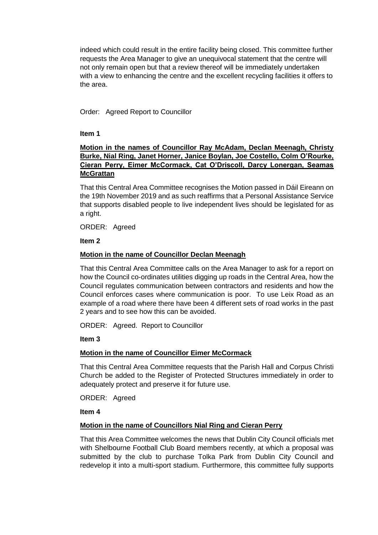indeed which could result in the entire facility being closed. This committee further requests the Area Manager to give an unequivocal statement that the centre will not only remain open but that a review thereof will be immediately undertaken with a view to enhancing the centre and the excellent recycling facilities it offers to the area.

Order: Agreed Report to Councillor

## **Item 1**

## **Motion in the names of Councillor Ray McAdam, Declan Meenagh, Christy Burke, Nial Ring, Janet Horner, Janice Boylan, Joe Costello, Colm O'Rourke, Cieran Perry, Eimer McCormack, Cat O'Driscoll, Darcy Lonergan, Seamas McGrattan**

That this Central Area Committee recognises the Motion passed in Dáil Eireann on the 19th November 2019 and as such reaffirms that a Personal Assistance Service that supports disabled people to live independent lives should be legislated for as a right.

ORDER: Agreed

**Item 2**

# **Motion in the name of Councillor Declan Meenagh**

That this Central Area Committee calls on the Area Manager to ask for a report on how the Council co-ordinates utilities digging up roads in the Central Area, how the Council regulates communication between contractors and residents and how the Council enforces cases where communication is poor. To use Leix Road as an example of a road where there have been 4 different sets of road works in the past 2 years and to see how this can be avoided.

ORDER: Agreed. Report to Councillor

**Item 3**

# **Motion in the name of Councillor Eimer McCormack**

That this Central Area Committee requests that the Parish Hall and Corpus Christi Church be added to the Register of Protected Structures immediately in order to adequately protect and preserve it for future use.

ORDER: Agreed

**Item 4**

# **Motion in the name of Councillors Nial Ring and Cieran Perry**

That this Area Committee welcomes the news that Dublin City Council officials met with Shelbourne Football Club Board members recently, at which a proposal was submitted by the club to purchase Tolka Park from Dublin City Council and redevelop it into a multi-sport stadium. Furthermore, this committee fully supports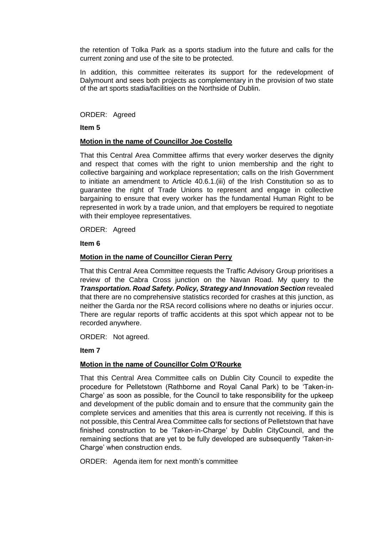the retention of Tolka Park as a sports stadium into the future and calls for the current zoning and use of the site to be protected.

In addition, this committee reiterates its support for the redevelopment of Dalymount and sees both projects as complementary in the provision of two state of the art sports stadia/facilities on the Northside of Dublin.

ORDER: Agreed

**Item 5**

#### **Motion in the name of Councillor Joe Costello**

That this Central Area Committee affirms that every worker deserves the dignity and respect that comes with the right to union membership and the right to collective bargaining and workplace representation; calls on the Irish Government to initiate an amendment to Article 40.6.1.(iii) of the Irish Constitution so as to guarantee the right of Trade Unions to represent and engage in collective bargaining to ensure that every worker has the fundamental Human Right to be represented in work by a trade union, and that employers be required to negotiate with their employee representatives.

ORDER: Agreed

**Item 6**

### **Motion in the name of Councillor Cieran Perry**

That this Central Area Committee requests the Traffic Advisory Group prioritises a review of the Cabra Cross junction on the Navan Road. My query to the *Transportation. Road Safety. Policy, Strategy and Innovation Section* revealed that there are no comprehensive statistics recorded for crashes at this junction, as neither the Garda nor the RSA record collisions where no deaths or injuries occur. There are regular reports of traffic accidents at this spot which appear not to be recorded anywhere.

ORDER: Not agreed.

## **Item 7**

## **Motion in the name of Councillor Colm O'Rourke**

That this Central Area Committee calls on Dublin City Council to expedite the procedure for Pelletstown (Rathborne and Royal Canal Park) to be 'Taken-in-Charge' as soon as possible, for the Council to take responsibility for the upkeep and development of the public domain and to ensure that the community gain the complete services and amenities that this area is currently not receiving. If this is not possible, this Central Area Committee calls for sections of Pelletstown that have finished construction to be 'Taken-in-Charge' by Dublin CityCouncil, and the remaining sections that are yet to be fully developed are subsequently 'Taken-in-Charge' when construction ends.

ORDER: Agenda item for next month's committee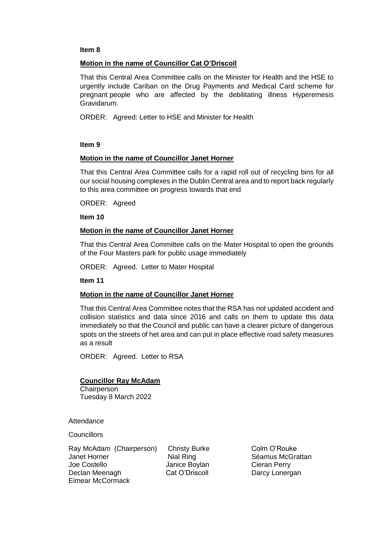#### **Item 8**

### **Motion in the name of Councillor Cat O'Driscoll**

That this Central Area Committee calls on the Minister for Health and the HSE to urgently include Cariban on the Drug Payments and Medical Card scheme for pregnant people who are affected by the debilitating illness Hyperemesis Gravidarum.

ORDER: Agreed: Letter to HSE and Minister for Health

#### **Item 9**

#### **Motion in the name of Councillor Janet Horner**

That this Central Area Committee calls for a rapid roll out of recycling bins for all our social housing complexes in the Dublin Central area and to report back regularly to this area committee on progress towards that end

ORDER: Agreed

**Item 10**

#### **Motion in the name of Councillor Janet Horner**

That this Central Area Committee calls on the Mater Hospital to open the grounds of the Four Masters park for public usage immediately

ORDER: Agreed. Letter to Mater Hospital

**Item 11**

#### **Motion in the name of Councillor Janet Horner**

That this Central Area Committee notes that the RSA has not updated accident and collision statistics and data since 2016 and calls on them to update this data immediately so that the Council and public can have a clearer picture of dangerous spots on the streets of het area and can put in place effective road safety measures as a result

ORDER: Agreed. Letter to RSA

#### **Councillor Ray McAdam**

**Chairperson** Tuesday 8 March 2022

Attendance

**Councillors** 

Ray McAdam (Chairperson) Christy Burke Colm O'Rouke Janet Horner **Nial Ring Séamus McGrattan** Joe Costello Janice Boylan Cieran Perry Declan Meenagh Cat O'Driscoll Darcy Lonergan Eimear McCormack